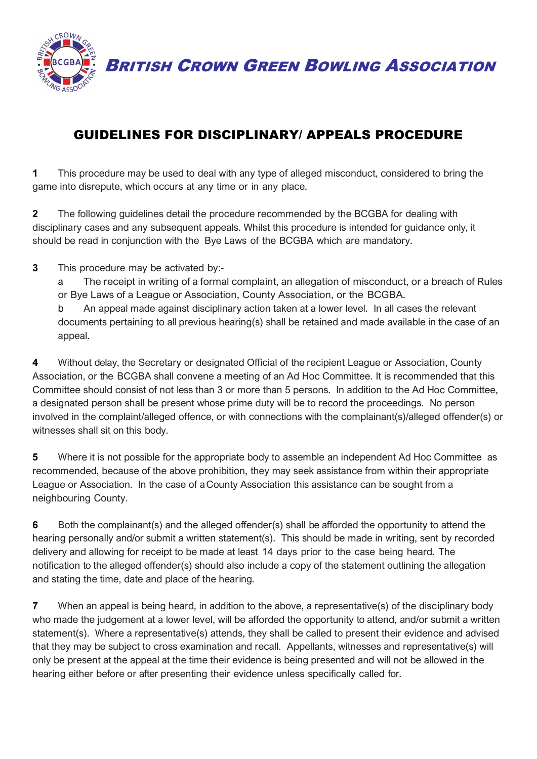

BRITISH CROWN GREEN BOWLING ASSOCIATION

## GUIDELINES FOR DISCIPLINARY/ APPEALS PROCEDURE

**1** This procedure may be used to deal with any type of alleged misconduct, considered to bring the game into disrepute, which occurs at any time or in any place.

**2** The following guidelines detail the procedure recommended by the BCGBA for dealing with disciplinary cases and any subsequent appeals. Whilst this procedure is intended for guidance only, it should be read in conjunction with the Bye Laws of the BCGBA which are mandatory.

**3** This procedure may be activated by:-

a The receipt in writing of a formal complaint, an allegation of misconduct, or a breach of Rules or Bye Laws of a League or Association, County Association, or the BCGBA.

b An appeal made against disciplinary action taken at a lower level. In all cases the relevant documents pertaining to all previous hearing(s) shall be retained and made available in the case of an appeal.

**4** Without delay, the Secretary or designated Official of the recipient League or Association, County Association, or the BCGBA shall convene a meeting of an Ad Hoc Committee. It is recommended that this Committee should consist of not less than 3 or more than 5 persons. In addition to the Ad Hoc Committee, a designated person shall be present whose prime duty will be to record the proceedings. No person involved in the complaint/alleged offence, or with connections with the complainant(s)/alleged offender(s) or witnesses shall sit on this body.

**5** Where it is not possible for the appropriate body to assemble an independent Ad Hoc Committee as recommended, because of the above prohibition, they may seek assistance from within their appropriate League or Association. In the case of a County Association this assistance can be sought from a neighbouring County.

**6** Both the complainant(s) and the alleged offender(s) shall be afforded the opportunity to attend the hearing personally and/or submit a written statement(s). This should be made in writing, sent by recorded delivery and allowing for receipt to be made at least 14 days prior to the case being heard. The notification to the alleged offender(s) should also include a copy of the statement outlining the allegation and stating the time, date and place of the hearing.

**7** When an appeal is being heard, in addition to the above, a representative(s) of the disciplinary body who made the judgement at a lower level, will be afforded the opportunity to attend, and/or submit a written statement(s). Where a representative(s) attends, they shall be called to present their evidence and advised that they may be subject to cross examination and recall. Appellants, witnesses and representative(s) will only be present at the appeal at the time their evidence is being presented and will not be allowed in the hearing either before or after presenting their evidence unless specifically called for.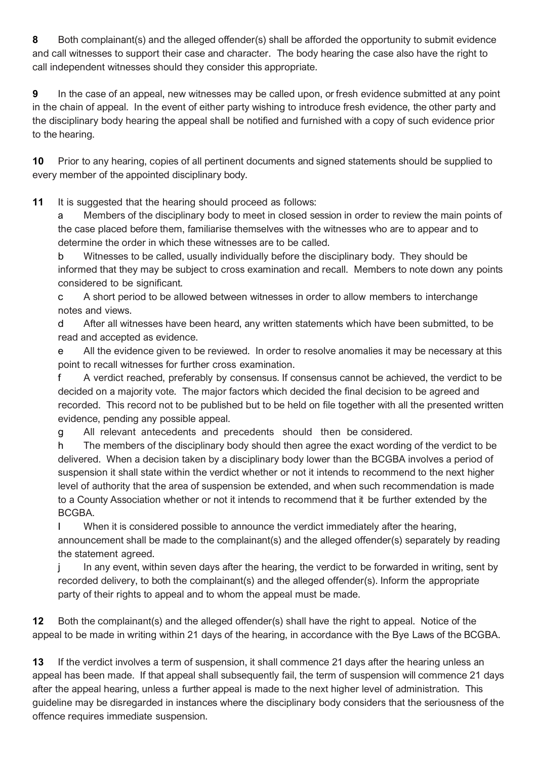**8** Both complainant(s) and the alleged offender(s) shall be afforded the opportunity to submit evidence and call witnesses to support their case and character. The body hearing the case also have the right to call independent witnesses should they consider this appropriate.

**9** In the case of an appeal, new witnesses may be called upon, or fresh evidence submitted at any point in the chain of appeal. In the event of either party wishing to introduce fresh evidence, the other party and the disciplinary body hearing the appeal shall be notified and furnished with a copy of such evidence prior to the hearing.

**10** Prior to any hearing, copies of all pertinent documents and signed statements should be supplied to every member of the appointed disciplinary body.

**11** It is suggested that the hearing should proceed as follows:

a Members of the disciplinary body to meet in closed session in order to review the main points of the case placed before them, familiarise themselves with the witnesses who are to appear and to determine the order in which these witnesses are to be called.

b Witnesses to be called, usually individually before the disciplinary body. They should be informed that they may be subject to cross examination and recall. Members to note down any points considered to be significant.

c A short period to be allowed between witnesses in order to allow members to interchange notes and views.

d After all witnesses have been heard, any written statements which have been submitted, to be read and accepted as evidence.

e All the evidence given to be reviewed. In order to resolve anomalies it may be necessary at this point to recall witnesses for further cross examination.

f A verdict reached, preferably by consensus. If consensus cannot be achieved, the verdict to be decided on a majority vote. The major factors which decided the final decision to be agreed and recorded. This record not to be published but to be held on file together with all the presented written evidence, pending any possible appeal.

g All relevant antecedents and precedents should then be considered.

h The members of the disciplinary body should then agree the exact wording of the verdict to be delivered. When a decision taken by a disciplinary body lower than the BCGBA involves a period of suspension it shall state within the verdict whether or not it intends to recommend to the next higher level of authority that the area of suspension be extended, and when such recommendation is made to a County Association whether or not it intends to recommend that it be further extended by the BCGBA.

I When it is considered possible to announce the verdict immediately after the hearing, announcement shall be made to the complainant(s) and the alleged offender(s) separately by reading the statement agreed.

j In any event, within seven days after the hearing, the verdict to be forwarded in writing, sent by recorded delivery, to both the complainant(s) and the alleged offender(s). Inform the appropriate party of their rights to appeal and to whom the appeal must be made.

**12** Both the complainant(s) and the alleged offender(s) shall have the right to appeal. Notice of the appeal to be made in writing within 21 days of the hearing, in accordance with the Bye Laws of the BCGBA.

**13** If the verdict involves a term of suspension, it shall commence 21 days after the hearing unless an appeal has been made. If that appeal shall subsequently fail, the term of suspension will commence 21 days after the appeal hearing, unless a further appeal is made to the next higher level of administration. This guideline may be disregarded in instances where the disciplinary body considers that the seriousness of the offence requires immediate suspension.